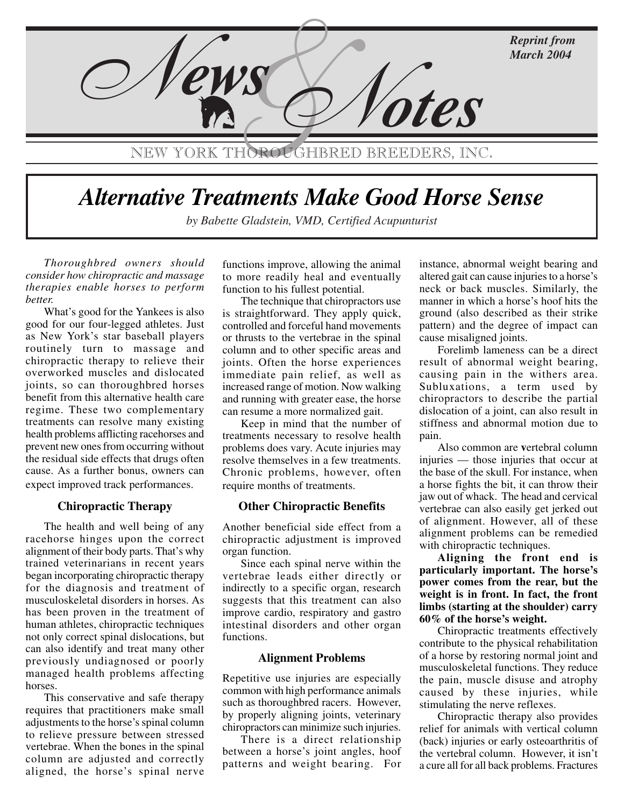

# Alternative Treatments Make Good Horse Sense

by Babette Gladstein, VMD, Certified Acupunturist

*Thoroughbred owners should consider how chiropractic and massage therapies enable horses to perform better.*

What's good for the Yankees is also good for our four-legged athletes. Just as New York's star baseball players routinely turn to massage and chiropractic therapy to relieve their overworked muscles and dislocated joints, so can thoroughbred horses benefit from this alternative health care regime. These two complementary treatments can resolve many existing health problems afflicting racehorses and prevent new ones from occurring without the residual side effects that drugs often cause. As a further bonus, owners can expect improved track performances.

#### **Chiropractic Therapy**

The health and well being of any racehorse hinges upon the correct alignment of their body parts. That's why trained veterinarians in recent years began incorporating chiropractic therapy for the diagnosis and treatment of musculoskeletal disorders in horses. As has been proven in the treatment of human athletes, chiropractic techniques not only correct spinal dislocations, but can also identify and treat many other previously undiagnosed or poorly managed health problems affecting horses.

This conservative and safe therapy requires that practitioners make small adjustments to the horse's spinal column to relieve pressure between stressed vertebrae. When the bones in the spinal column are adjusted and correctly aligned, the horse's spinal nerve functions improve, allowing the animal to more readily heal and eventually function to his fullest potential.

The technique that chiropractors use is straightforward. They apply quick, controlled and forceful hand movements or thrusts to the vertebrae in the spinal column and to other specific areas and joints. Often the horse experiences immediate pain relief, as well as increased range of motion. Now walking and running with greater ease, the horse can resume a more normalized gait.

Keep in mind that the number of treatments necessary to resolve health problems does vary. Acute injuries may resolve themselves in a few treatments. Chronic problems, however, often require months of treatments.

#### **Other Chiropractic Benefits**

Another beneficial side effect from a chiropractic adjustment is improved organ function.

Since each spinal nerve within the vertebrae leads either directly or indirectly to a specific organ, research suggests that this treatment can also improve cardio, respiratory and gastro intestinal disorders and other organ functions.

#### **Alignment Problems**

Repetitive use injuries are especially common with high performance animals such as thoroughbred racers. However, by properly aligning joints, veterinary chiropractors can minimize such injuries.

There is a direct relationship between a horse's joint angles, hoof patterns and weight bearing. For instance, abnormal weight bearing and altered gait can cause injuries to a horse's neck or back muscles. Similarly, the manner in which a horse's hoof hits the ground (also described as their strike pattern) and the degree of impact can cause misaligned joints.

Forelimb lameness can be a direct result of abnormal weight bearing, causing pain in the withers area. Subluxations, a term used by chiropractors to describe the partial dislocation of a joint, can also result in stiffness and abnormal motion due to pain.

Also common are **v**ertebral column injuries — those injuries that occur at the base of the skull. For instance, when a horse fights the bit, it can throw their jaw out of whack. The head and cervical vertebrae can also easily get jerked out of alignment. However, all of these alignment problems can be remedied with chiropractic techniques.

**Aligning the front end is particularly important. The horse's power comes from the rear, but the weight is in front. In fact, the front limbs (starting at the shoulder) carry 60% of the horse's weight.**

Chiropractic treatments effectively contribute to the physical rehabilitation of a horse by restoring normal joint and musculoskeletal functions. They reduce the pain, muscle disuse and atrophy caused by these injuries, while stimulating the nerve reflexes.

Chiropractic therapy also provides relief for animals with vertical column (back) injuries or early osteoarthritis of the vertebral column. However, it isn't a cure all for all back problems. Fractures